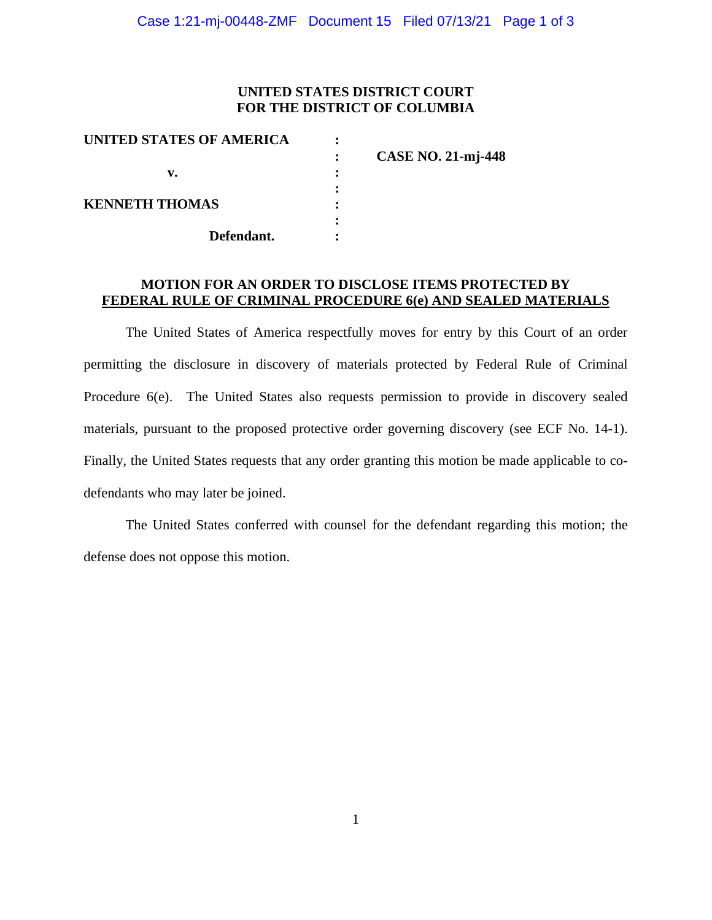### **UNITED STATES DISTRICT COURT FOR THE DISTRICT OF COLUMBIA**

| <b>CASE NO. 21-mj-448</b> |
|---------------------------|
|                           |
|                           |
|                           |
|                           |
|                           |
|                           |

#### **MOTION FOR AN ORDER TO DISCLOSE ITEMS PROTECTED BY FEDERAL RULE OF CRIMINAL PROCEDURE 6(e) AND SEALED MATERIALS**

The United States of America respectfully moves for entry by this Court of an order permitting the disclosure in discovery of materials protected by Federal Rule of Criminal Procedure 6(e). The United States also requests permission to provide in discovery sealed materials, pursuant to the proposed protective order governing discovery (see ECF No. 14-1). Finally, the United States requests that any order granting this motion be made applicable to codefendants who may later be joined.

The United States conferred with counsel for the defendant regarding this motion; the defense does not oppose this motion.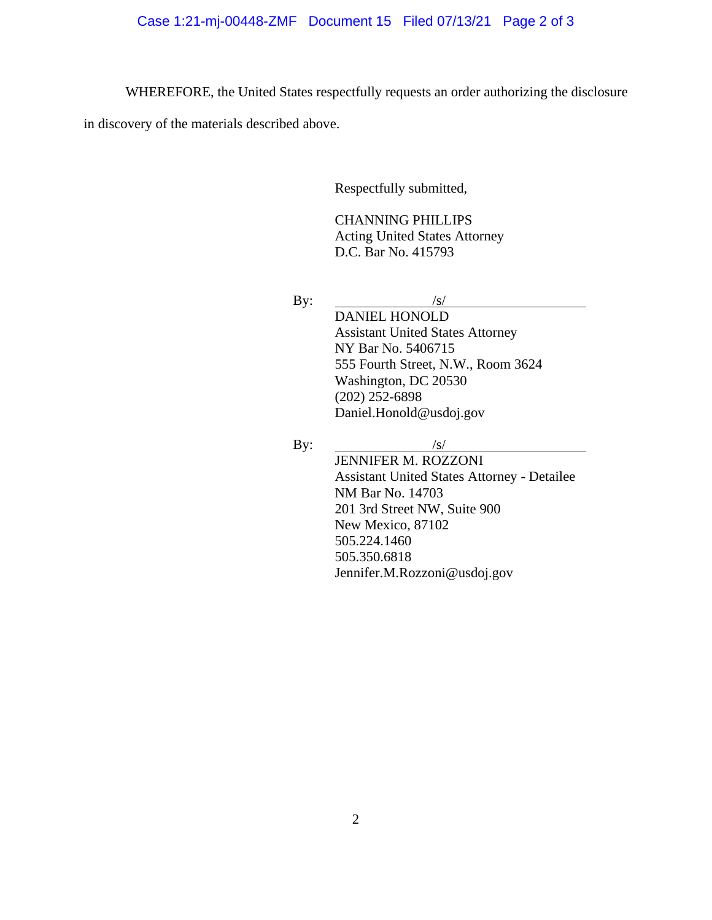WHEREFORE, the United States respectfully requests an order authorizing the disclosure

in discovery of the materials described above.

Respectfully submitted,

CHANNING PHILLIPS Acting United States Attorney D.C. Bar No. 415793

By:  $/s/$ 

DANIEL HONOLD Assistant United States Attorney NY Bar No. 5406715 555 Fourth Street, N.W., Room 3624 Washington, DC 20530 (202) 252-6898 Daniel.Honold@usdoj.gov

By:  $\frac{S}{s}$ JENNIFER M. ROZZONI

Assistant United States Attorney - Detailee NM Bar No. 14703 201 3rd Street NW, Suite 900 New Mexico, 87102 505.224.1460 505.350.6818 Jennifer.M.Rozzoni@usdoj.gov